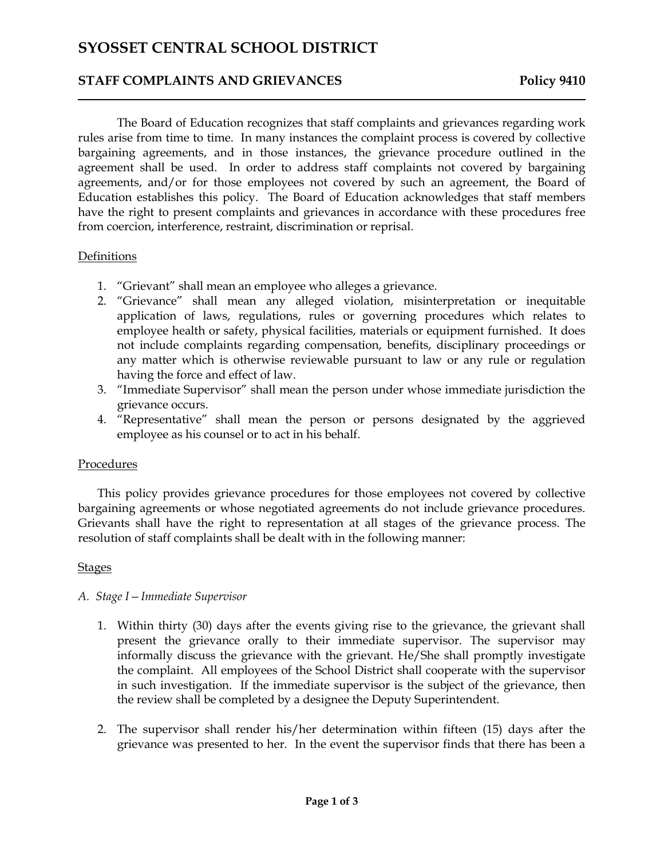## **SYOSSET CENTRAL SCHOOL DISTRICT**

### **STAFF COMPLAINTS AND GRIEVANCES** Policy 9410

The Board of Education recognizes that staff complaints and grievances regarding work rules arise from time to time. In many instances the complaint process is covered by collective bargaining agreements, and in those instances, the grievance procedure outlined in the agreement shall be used. In order to address staff complaints not covered by bargaining agreements, and/or for those employees not covered by such an agreement, the Board of Education establishes this policy. The Board of Education acknowledges that staff members have the right to present complaints and grievances in accordance with these procedures free from coercion, interference, restraint, discrimination or reprisal.

#### Definitions

- 1. "Grievant" shall mean an employee who alleges a grievance.
- 2. "Grievance" shall mean any alleged violation, misinterpretation or inequitable application of laws, regulations, rules or governing procedures which relates to employee health or safety, physical facilities, materials or equipment furnished. It does not include complaints regarding compensation, benefits, disciplinary proceedings or any matter which is otherwise reviewable pursuant to law or any rule or regulation having the force and effect of law.
- 3. "Immediate Supervisor" shall mean the person under whose immediate jurisdiction the grievance occurs.
- 4. "Representative" shall mean the person or persons designated by the aggrieved employee as his counsel or to act in his behalf.

#### Procedures

This policy provides grievance procedures for those employees not covered by collective bargaining agreements or whose negotiated agreements do not include grievance procedures. Grievants shall have the right to representation at all stages of the grievance process. The resolution of staff complaints shall be dealt with in the following manner:

#### Stages

#### *A. Stage I—Immediate Supervisor*

- 1. Within thirty (30) days after the events giving rise to the grievance, the grievant shall present the grievance orally to their immediate supervisor. The supervisor may informally discuss the grievance with the grievant. He/She shall promptly investigate the complaint. All employees of the School District shall cooperate with the supervisor in such investigation. If the immediate supervisor is the subject of the grievance, then the review shall be completed by a designee the Deputy Superintendent.
- 2. The supervisor shall render his/her determination within fifteen (15) days after the grievance was presented to her. In the event the supervisor finds that there has been a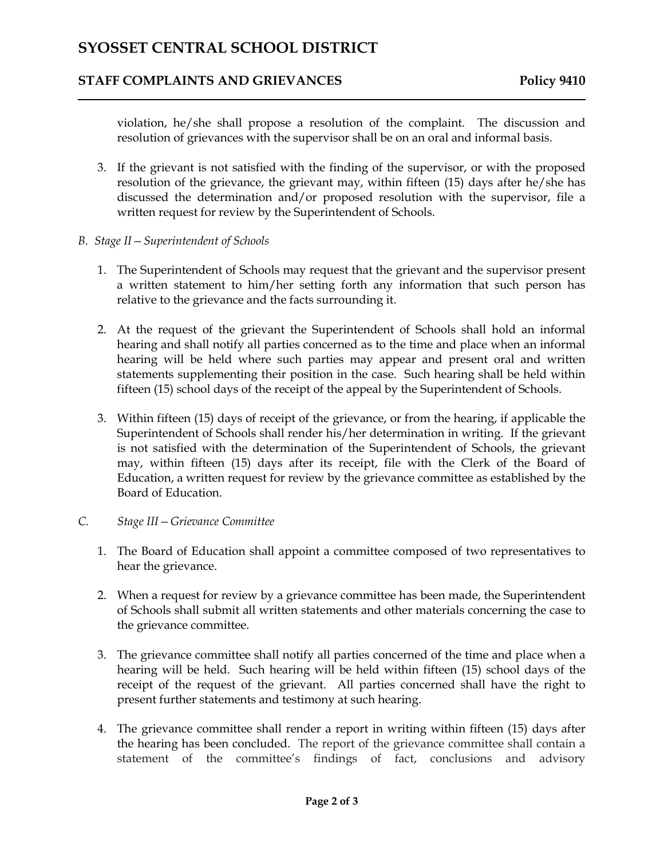## **SYOSSET CENTRAL SCHOOL DISTRICT**

### **STAFF COMPLAINTS AND GRIEVANCES** Policy 9410

violation, he/she shall propose a resolution of the complaint. The discussion and resolution of grievances with the supervisor shall be on an oral and informal basis.

- 3. If the grievant is not satisfied with the finding of the supervisor, or with the proposed resolution of the grievance, the grievant may, within fifteen (15) days after he/she has discussed the determination and/or proposed resolution with the supervisor, file a written request for review by the Superintendent of Schools.
- *B. Stage II—Superintendent of Schools*
	- 1. The Superintendent of Schools may request that the grievant and the supervisor present a written statement to him/her setting forth any information that such person has relative to the grievance and the facts surrounding it.
	- 2. At the request of the grievant the Superintendent of Schools shall hold an informal hearing and shall notify all parties concerned as to the time and place when an informal hearing will be held where such parties may appear and present oral and written statements supplementing their position in the case. Such hearing shall be held within fifteen (15) school days of the receipt of the appeal by the Superintendent of Schools.
	- 3. Within fifteen (15) days of receipt of the grievance, or from the hearing, if applicable the Superintendent of Schools shall render his/her determination in writing. If the grievant is not satisfied with the determination of the Superintendent of Schools, the grievant may, within fifteen (15) days after its receipt, file with the Clerk of the Board of Education, a written request for review by the grievance committee as established by the Board of Education.
- *C. Stage III—Grievance Committee*
	- 1. The Board of Education shall appoint a committee composed of two representatives to hear the grievance.
	- 2. When a request for review by a grievance committee has been made, the Superintendent of Schools shall submit all written statements and other materials concerning the case to the grievance committee.
	- 3. The grievance committee shall notify all parties concerned of the time and place when a hearing will be held. Such hearing will be held within fifteen (15) school days of the receipt of the request of the grievant. All parties concerned shall have the right to present further statements and testimony at such hearing.
	- 4. The grievance committee shall render a report in writing within fifteen (15) days after the hearing has been concluded. The report of the grievance committee shall contain a statement of the committee's findings of fact, conclusions and advisory